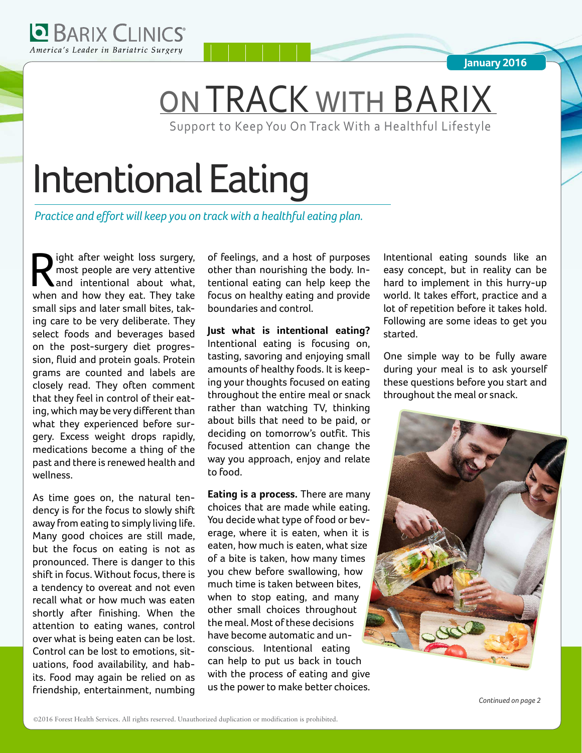

#### **January 2016**

# on TRACK with BARIX

Support to Keep You On Track With a Healthful Lifestyle

# Intentional Eating

*Practice and effort will keep you on track with a healthful eating plan.*

**R**ight after weight loss surgery,<br>most people are very attentive<br>and intentional about what, most people are very attentive and intentional about what, when and how they eat. They take small sips and later small bites, taking care to be very deliberate. They select foods and beverages based on the post-surgery diet progression, fluid and protein goals. Protein grams are counted and labels are closely read. They often comment that they feel in control of their eating, which may be very different than what they experienced before surgery. Excess weight drops rapidly, medications become a thing of the past and there is renewed health and wellness.

As time goes on, the natural tendency is for the focus to slowly shift away from eating to simply living life. Many good choices are still made, but the focus on eating is not as pronounced. There is danger to this shift in focus. Without focus, there is a tendency to overeat and not even recall what or how much was eaten shortly after finishing. When the attention to eating wanes, control over what is being eaten can be lost. Control can be lost to emotions, situations, food availability, and habits. Food may again be relied on as friendship, entertainment, numbing of feelings, and a host of purposes other than nourishing the body. Intentional eating can help keep the focus on healthy eating and provide boundaries and control.

**Just what is intentional eating?**  Intentional eating is focusing on, tasting, savoring and enjoying small amounts of healthy foods. It is keeping your thoughts focused on eating throughout the entire meal or snack rather than watching TV, thinking about bills that need to be paid, or deciding on tomorrow's outfit. This focused attention can change the way you approach, enjoy and relate to food.

**Eating is a process.** There are many choices that are made while eating. You decide what type of food or beverage, where it is eaten, when it is eaten, how much is eaten, what size of a bite is taken, how many times you chew before swallowing, how much time is taken between bites, when to stop eating, and many other small choices throughout the meal. Most of these decisions have become automatic and unconscious. Intentional eating can help to put us back in touch with the process of eating and give us the power to make better choices.

Intentional eating sounds like an easy concept, but in reality can be hard to implement in this hurry-up world. It takes effort, practice and a lot of repetition before it takes hold. Following are some ideas to get you started.

One simple way to be fully aware during your meal is to ask yourself these questions before you start and throughout the meal or snack.

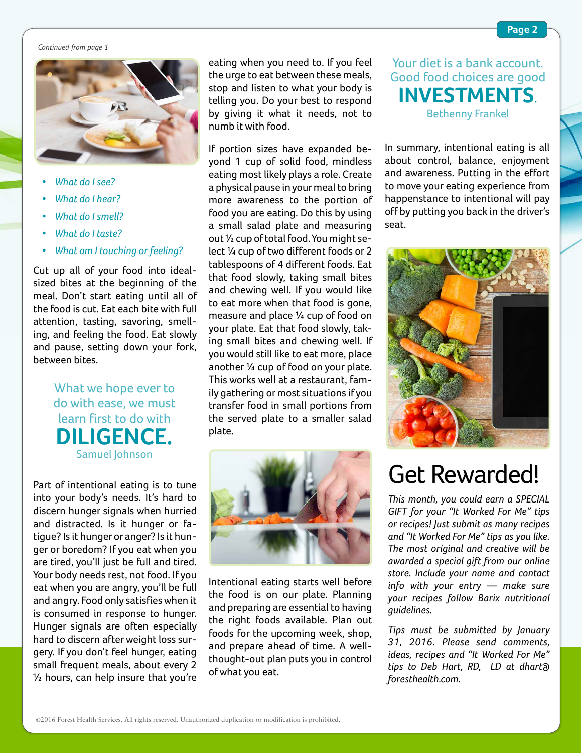

- *• What do I see?*
- *• What do I hear?*
- *• What do I smell?*
- *• What do I taste?*
- *• What am I touching or feeling?*

Cut up all of your food into idealsized bites at the beginning of the meal. Don't start eating until all of the food is cut. Eat each bite with full attention, tasting, savoring, smelling, and feeling the food. Eat slowly and pause, setting down your fork, between bites.

> What we hope ever to do with ease, we must learn first to do with **DILIGENCE.** Samuel Johnson

Part of intentional eating is to tune into your body's needs. It's hard to discern hunger signals when hurried and distracted. Is it hunger or fatigue? Is it hunger or anger? Is it hunger or boredom? If you eat when you are tired, you'll just be full and tired. Your body needs rest, not food. If you eat when you are angry, you'll be full and angry. Food only satisfies when it is consumed in response to hunger. Hunger signals are often especially hard to discern after weight loss surgery. If you don't feel hunger, eating small frequent meals, about every 2 ½ hours, can help insure that you're eating when you need to. If you feel the urge to eat between these meals, stop and listen to what your body is telling you. Do your best to respond by giving it what it needs, not to numb it with food.

If portion sizes have expanded beyond 1 cup of solid food, mindless eating most likely plays a role. Create a physical pause in your meal to bring more awareness to the portion of food you are eating. Do this by using a small salad plate and measuring out ½ cup of total food. You might select ¼ cup of two different foods or 2 tablespoons of 4 different foods. Eat that food slowly, taking small bites and chewing well. If you would like to eat more when that food is gone, measure and place ¼ cup of food on your plate. Eat that food slowly, taking small bites and chewing well. If you would still like to eat more, place another ¼ cup of food on your plate. This works well at a restaurant, family gathering or most situations if you transfer food in small portions from the served plate to a smaller salad plate.



Intentional eating starts well before the food is on our plate. Planning and preparing are essential to having the right foods available. Plan out foods for the upcoming week, shop, and prepare ahead of time. A wellthought-out plan puts you in control of what you eat.

Your diet is a bank account. Good food choices are good **INVESTMENTS**. Bethenny Frankel

In summary, intentional eating is all about control, balance, enjoyment and awareness. Putting in the effort to move your eating experience from happenstance to intentional will pay off by putting you back in the driver's seat.



## Get Rewarded!

*This month, you could earn a SPECIAL GIFT for your "It Worked For Me" tips or recipes! Just submit as many recipes and "It Worked For Me" tips as you like. The most original and creative will be awarded a special gift from our online store. Include your name and contact info with your entry — make sure your recipes follow Barix nutritional guidelines.* 

*Tips must be submitted by January 31, 2016. Please send comments, ideas, recipes and "It Worked For Me" tips to Deb Hart, RD, LD at dhart@ foresthealth.com.*